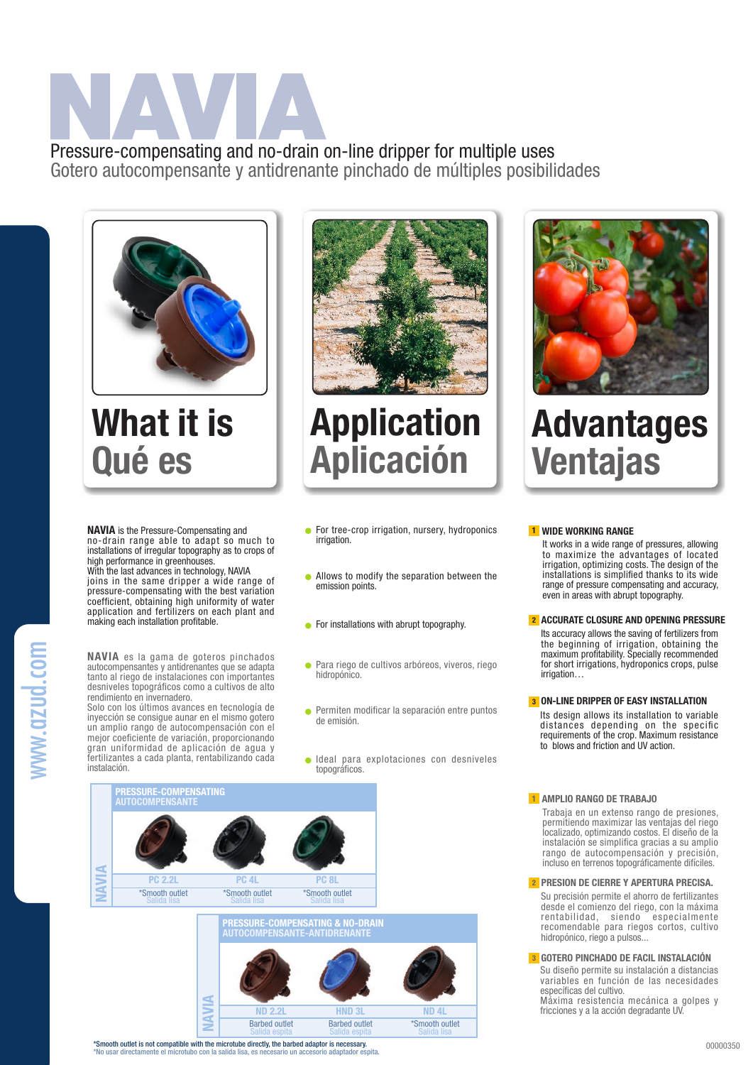## Pressure-compensating and no-drain on-line dripper for multiple uses Gotero autocompensante y antidrenante pinchado de múltiples posibilidades

What it is Qué es



## Application Aplicación

NAVIA is the Pressure-Compensating and no-drain range able to adapt so much to installations of irregular topography as to crops of high performance in greenhouses.

With the last advances in technology, NAVIA joins in the same dripper a wide range of pressure-compensating with the best variation coefficient, obtaining high uniformity of water application and fertilizers on each plant and making each installation profitable.

NAVIA es la gama de goteros pinchados autocompensantes y antidrenantes que se adapta tanto al riego de instalaciones con importantes desniveles topográficos como a cultivos de alto rendimiento en invernadero.

Solo con los últimos avances en tecnología de inyección se consigue aunar en el mismo gotero un amplio rango de autocompensación con el mejor coeficiente de variación, proporcionando gran uniformidad de aplicación de agua y fertilizantes a cada planta, rentabilizando cada instalación.

- **•** For tree-crop irrigation, nursery, hydroponics irrigation.
- **Allows to modify the separation between the** emission points.
- **•** For installations with abrupt topography.
- Para riego de cultivos arbóreos, viveros, riego hidropónico.
- Permiten modificar la separación entre puntos de emisión.
- Ideal para explotaciones con desniveles topográficos.









### Advantages Ventajas

#### <mark>1</mark> wide working range

It works in a wide range of pressures, allowing to maximize the advantages of located irrigation, optimizing costs. The design of the installations is simplified thanks to its wide range of pressure compensating and accuracy, even in areas with abrupt topography.

#### 2 ACCURATE CLOSURE AND OPENING PRESSURE

Its accuracy allows the saving of fertilizers from the beginning of irrigation, obtaining the maximum profitability. Specially recommended for short irrigations, hydroponics crops, pulse irrigation…

#### **3 ON-LINE DRIPPER OF EASY INSTALLATION**

Its design allows its installation to variable distances depending on the specific requirements of the crop. Maximum resistance to blows and friction and UV action.

#### 1 AMPLIO RANGO DE TRABAJO

Trabaja en un extenso rango de presiones, permitiendo maximizar las ventajas del riego localizado, optimizando costos. El diseño de la instalación se simplifica gracias a su amplio rango de autocompensación y precisión, incluso en terrenos topográficamente difíciles.

#### 2 PRESION DE CIERRE Y APERTURA PRECISA.

Su precisión permite el ahorro de fertilizantes desde el comienzo del riego, con la máxima rentabilidad, siendo especialmente recomendable para riegos cortos, cultivo hidropónico, riego a pulsos...

Su diseño permite su instalación a distancias variables en función de las necesidades específicas del cultivo. Máxima resistencia mecánica a golpes y fricciones y a la acción degradante UV. **3 GOTERO PINCHADO DE FACIL INSTALACIÓN**